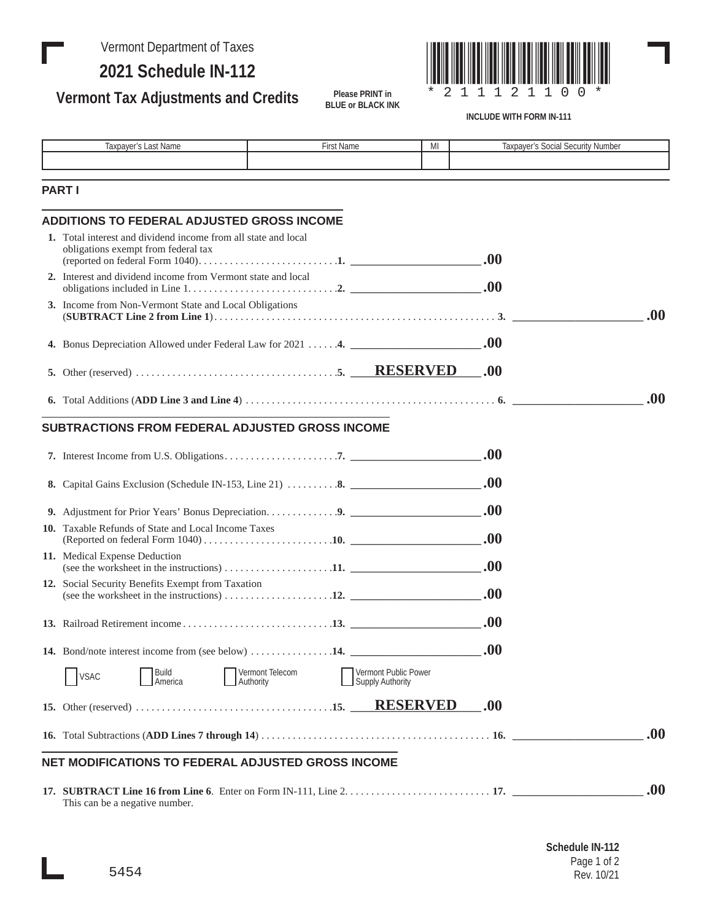## Vermont Department of Taxes

Π

**2021 Schedule IN-112**

**Vermont Tax Adjustments and Credits**



**INCLUDE WITH FORM IN-111**

| Taxpayer's Last Name                                                                                                                                                                                                                                                                                                               | First Name                                                                                                                            | MI                                              |     | Taxpayer's Social Security Number |
|------------------------------------------------------------------------------------------------------------------------------------------------------------------------------------------------------------------------------------------------------------------------------------------------------------------------------------|---------------------------------------------------------------------------------------------------------------------------------------|-------------------------------------------------|-----|-----------------------------------|
|                                                                                                                                                                                                                                                                                                                                    |                                                                                                                                       |                                                 |     |                                   |
| <b>PART I</b>                                                                                                                                                                                                                                                                                                                      |                                                                                                                                       |                                                 |     |                                   |
| <b>ADDITIONS TO FEDERAL ADJUSTED GROSS INCOME</b>                                                                                                                                                                                                                                                                                  |                                                                                                                                       |                                                 |     |                                   |
| 1. Total interest and dividend income from all state and local<br>obligations exempt from federal tax                                                                                                                                                                                                                              |                                                                                                                                       |                                                 |     |                                   |
|                                                                                                                                                                                                                                                                                                                                    | 2. Interest and dividend income from Vermont state and local<br>obligations included in Line $1, \ldots, \ldots, \ldots, \ldots, 2$ . |                                                 |     |                                   |
| 3. Income from Non-Vermont State and Local Obligations                                                                                                                                                                                                                                                                             |                                                                                                                                       |                                                 |     | .00.                              |
|                                                                                                                                                                                                                                                                                                                                    |                                                                                                                                       |                                                 |     |                                   |
| 5. Other (reserved) $\ldots$ $\ldots$ $\ldots$ $\ldots$ $\ldots$ $\ldots$ $\ldots$ $\ldots$ $\ldots$ $\ldots$ $\ldots$ $\ldots$ $\ldots$ $\ldots$ $\ldots$ $\ldots$ $\ldots$ $\ldots$ $\ldots$ $\ldots$ $\ldots$ $\ldots$ $\ldots$ $\ldots$ $\ldots$ $\ldots$ $\ldots$ $\ldots$ $\ldots$ $\ldots$ $\ldots$ $\ldots$ $\ldots$ $\ld$ |                                                                                                                                       |                                                 | .00 |                                   |
| 6. Total Additions (ADD Line 3 and Line 4) $\ldots$ $\ldots$ $\ldots$ $\ldots$ $\ldots$ $\ldots$ $\ldots$ $\ldots$ $\ldots$ $\ldots$ $\ldots$ $\ldots$ $\ldots$ $\ldots$ $\ldots$ $\ldots$ $\ldots$                                                                                                                                |                                                                                                                                       |                                                 |     | .00.                              |
| SUBTRACTIONS FROM FEDERAL ADJUSTED GROSS INCOME                                                                                                                                                                                                                                                                                    |                                                                                                                                       |                                                 |     |                                   |
|                                                                                                                                                                                                                                                                                                                                    |                                                                                                                                       |                                                 |     |                                   |
|                                                                                                                                                                                                                                                                                                                                    |                                                                                                                                       |                                                 |     |                                   |
| 9. Adjustment for Prior Years' Bonus Depreciation9.                                                                                                                                                                                                                                                                                |                                                                                                                                       |                                                 |     |                                   |
| 10. Taxable Refunds of State and Local Income Taxes                                                                                                                                                                                                                                                                                |                                                                                                                                       |                                                 |     |                                   |
| 11. Medical Expense Deduction<br>(see the worksheet in the instructions) $\ldots \ldots \ldots \ldots \ldots \ldots \ldots$                                                                                                                                                                                                        |                                                                                                                                       |                                                 |     |                                   |
| 12. Social Security Benefits Exempt from Taxation<br>(see the worksheet in the instructions) $\ldots \ldots \ldots \ldots \ldots \ldots$ 12.                                                                                                                                                                                       |                                                                                                                                       |                                                 |     |                                   |
|                                                                                                                                                                                                                                                                                                                                    |                                                                                                                                       |                                                 |     |                                   |
| 14. Bond/note interest income from (see below) 14.                                                                                                                                                                                                                                                                                 |                                                                                                                                       |                                                 | .00 |                                   |
| Build<br><b>VSAC</b><br>America                                                                                                                                                                                                                                                                                                    | Vermont Telecom<br>Authority                                                                                                          | Vermont Public Power<br><b>Supply Authority</b> |     |                                   |
|                                                                                                                                                                                                                                                                                                                                    |                                                                                                                                       | <b>RESERVED</b>                                 | .00 |                                   |
|                                                                                                                                                                                                                                                                                                                                    |                                                                                                                                       |                                                 |     | .00.                              |
| NET MODIFICATIONS TO FEDERAL ADJUSTED GROSS INCOME                                                                                                                                                                                                                                                                                 |                                                                                                                                       |                                                 |     |                                   |
|                                                                                                                                                                                                                                                                                                                                    |                                                                                                                                       |                                                 |     | .00.                              |

**Please PRINT in BLUE or BLACK INK**

This can be a negative number.